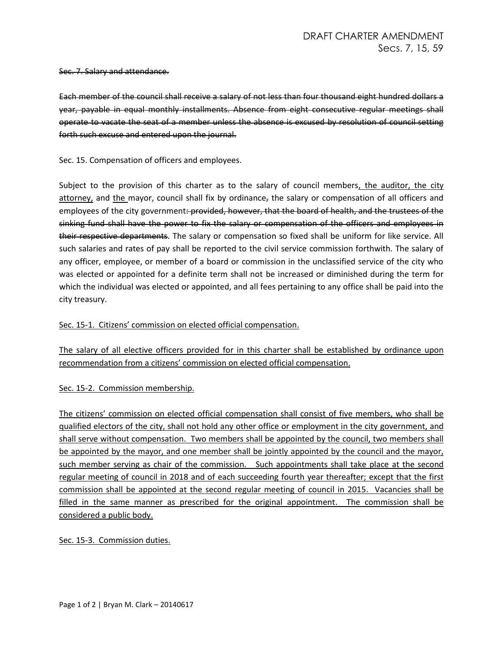#### Sec. 7. Salary and attendance.

Each member of the council shall receive a salary of not less than four thousand eight hundred dollars a year, payable in equal monthly installments. Absence from eight consecutive regular meetings shall operate to vacate the seat of a member unless the absence is excused by resolution of council setting forth such excuse and entered upon the journal.

## Sec. 15. Compensation of officers and employees.

Subject to the provision of this charter as to the salary of council members, the auditor, the city attorney, and the mayor, council shall fix by ordinance, the salary or compensation of all officers and employees of the city government: provided, however, that the board of health, and the trustees of the sinking fund shall have the power to fix the salary or compensation of the officers and employees in their respective departments. The salary or compensation so fixed shall be uniform for like service. All such salaries and rates of pay shall be reported to the civil service commission forthwith. The salary of any officer, employee, or member of a board or commission in the unclassified service of the city who was elected or appointed for a definite term shall not be increased or diminished during the term for which the individual was elected or appointed, and all fees pertaining to any office shall be paid into the city treasury.

## Sec. 15-1. Citizens' commission on elected official compensation.

The salary of all elective officers provided for in this charter shall be established by ordinance upon recommendation from a citizens' commission on elected official compensation.

## Sec. 15-2. Commission membership.

The citizens' commission on elected official compensation shall consist of five members, who shall be qualified electors of the city, shall not hold any other office or employment in the city government, and shall serve without compensation. Two members shall be appointed by the council, two members shall be appointed by the mayor, and one member shall be jointly appointed by the council and the mayor, such member serving as chair of the commission. Such appointments shall take place at the second regular meeting of council in 2018 and of each succeeding fourth year thereafter; except that the first commission shall be appointed at the second regular meeting of council in 2015. Vacancies shall be filled in the same manner as prescribed for the original appointment. The commission shall be considered a public body.

## Sec. 15-3. Commission duties.